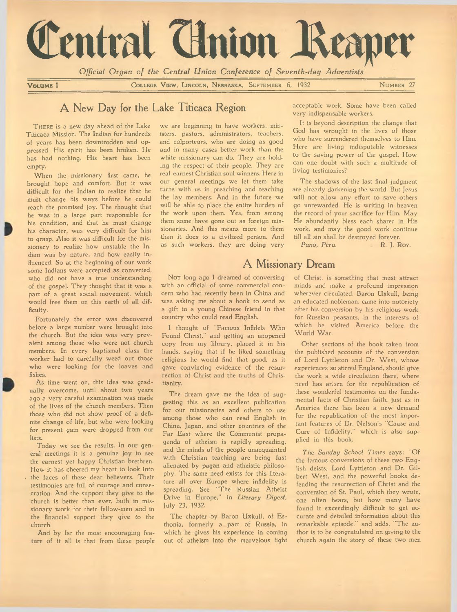# Central Clnion Reaper

*Official Organ of the Central Union Conference of Seventh-day Adventists*

**VOLUME I COLLEGE VIEW, LINCOLN, NEBRASKA, SEPTEMBER 6, 1932 NUMBER 27** 

# **A New Day for the Lake Titicaca Region**

THERE is a new day ahead of the Lake Titicaca Mission. The Indian for hundreds of years has been downtrodden and oppressed. His spirit has been broken. He has had nothing. His heart has been empty.

When the missionary first came, he brought hope and comfort. But it was difficult for the Indian to realize that he must change his ways before he could reach the promised joy. The thought that he was in a large part responsible for his condition, and that he must change his character, was very difficult for him to grasp. Also it was difficult for the missionary to realize how unstable the Indian was by nature, and how easily influenced. So at the beginning of our work some Indians were accepted as converted, who did not have a true understanding of the gospel. They thought that it was a part of a great social, movement, which would free them on this earth of all difficulty.

Fortunately the error was discovered before a large number were brought into the church. But the idea was very prevalent among those who were not church members. In every baptismal class the worker had to carefully weed out those who were looking for the loaves and fishes.

As time went on, this idea was gradually overcome, until about two years ago a very careful examination was made of the lives of the church members. Then those who did not show proof of a definite change of life, but who were looking for present gain were dropped from our lists.

Today we see the results. In our general meetings it is a genuine joy to see the earnest yet happy Christian brethren. How it has cheered my heart to look into • the faces of these dear believers. Their testimonies are full of courage and consecration. And the support they give to the church is better than ever, both in missionary work for their fellow-men and in the financial support they give to the church.

And by far the most encouraging feature of it all is that from these people

we are beginning to have workers, ministers, pastors, administrators, teachers, and colporteurs, who are doing as good and in many cases better work than the white missionary can do. They are holding the respect of their people. They are real earnest Christian soul winners. Here in our general meetings we let them take turns with us in preaching and teaching the lay members. And in the future we will be able to place the entire burden of the work upon them. Yes, from among them some have gone out as foreign missionaries. And this means more to them than it does to a civilized person. And as such workers, they are doing very

Nor long ago I dreamed of conversing with an official of some commercial concern who had recently been in China and was asking me about a book to send as a gift to a young Chinese friend in that country who could read English.

I thought of "Famous Infidels Who Found Christ," and getting an unopened copy from my library, placed it in his hands, saying that if he liked something religious he would find that good, as it gave convincing evidence of the resurrection of Christ and the truths of Christianity.

The dream gave me the idea of suggesting this as an excellent publication for our missionaries and others to use among those who can read English in China, Japan, and other countries of the Far East where the Communist propaganda of atheism is rapidly spreading, and the minds of the people unacquainted with Christian teaching are being fast alienated by pagan and atheistic philosophy. The same need exists for this literature all over Europe where infidelity is spreading. See "The Russian Atheist Drive in Europe," in *Literary Digest*, July 23, 1932.

The chapter by Baron Uxkull, of Esthonia, formerly a part of Russia, in which he gives his experience in coming out of atheism into the marvelous light acceptable work. Some have been called very indispensable workers.

It is beyond description the change that God has wrought in the lives of those who have surrendered themselves to Him. Here are living indisputable witnesses to the saving power of the gospel. How can one doubt with such a multitude of living testimonies?

The shadows of the last final judgment are already darkening the world. But Jesus will not allow any effort to save others go unrewarded. He is writing in heaven the record of your sacrifice for Him. May He abundantly bless each sharer in His work, and may the good work continue till all sin shall be destroyed forever.<br>Puno, Peru. R. J. Roy.

Puno, Peru.

# **A Missionary Dream**

of Christ, is something that must attract minds and make a profound impression wherever circulated. Baron Uxkull, being an educated nobleman, came into notoriety after his conversion by his religious work for Russian peasants, in the interests of which he visited America before the World War.

Other sections of the book taken from the published accounts of the conversion of Lord Lyttleton and Dr. West, whose experiences so stirred England, should give the work a wide circulation there, where need has arisen for the republication of these wonderful testimonies on the fundamental facts of Christian faith, just as in America there has been a new demand for the republication of the most important features of Dr. Nelson's "Cause and Cure of Infidelity," which is also supplied in this book.

The Sunday School Times says: "Of the famous conversions of these two English deists, Lord Lyttleton and Dr. Gilbert West, and the powerful books defending the resurrection of Christ and the conversion of St. Paul, which they wrote, one often hears, but how many have found it exceedingly difficult to get accurate and detailed information about this remarkable episode," and adds, "The author is to be congratulated on giving to the church again the story of these two men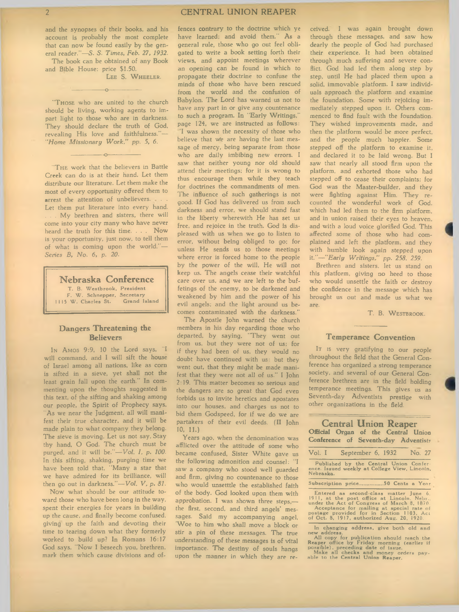# **CENTRAL UNION REAPER**

and the synopses of their books, and his account is probably the most complete that can now be found easily by the general reader."-S. S. Times, Feb. 27, 1932.

The book can be obtained of any Book and Bible House: price \$1.50.

----------------- o-----------------

LEE S. WHEELER.

"THOSE who are united to the church should be living, working agents to impart light to those who are in darkness. They should declare the truth of God, revealing His love and faithfulness." *"Home Missionary Work," pp. 5, 6.* 

-------------o-------------

"THE work that the believers in Battle Creek can do is at their hand. Let them distribute our literature. Let them make the most of every opportunity offered them to arrest the attention of unbelievers. Let them put literature into every hand. My brethren and sisters, there will come into your city many who have never heard the truth for this time. . . . Now is your opportunity, just now, to tell them of what is coming upon the world."— Series B, No. 6, p. 20.

**Nebraska Conference** T. B. Westbrook, President F. W. Schnepper, Secretary<br>i W. Charles St. Grand Island  $1115$  W. Charles St.

# **Dangers Threatening the Believers**

In AMOS 9:9, 10 the Lord says, "I will command, and I will sift the house of Israel among all nations, like as corn is sifted in a sieve, yet shall not the least grain fall upon the earth." In commenting upon the thoughts suggested in this text, of the sifting and shaking among our people, the Spirit of Prophecy says, "As we near the Judgment, all will manifest their true character, and it will be made plain to what company they belong. The sieve is moving. Let us not say, Stay thy hand, O God. The church must be purged, and it will be."— *Vol. I, p. 100.* In this sifting, shaking, purging time we have been told that, "Many a star that we have admired for its brilliance, will then go out in darkness." $-V$ ol. V, p. 81.

Now what should be our attitude toward those who have been long in the way, spent their energies for years in building up the cause, and finally become confused, giving up the faith and devoting their time to tearing down what they formerly worked to build up? In Romans 16:17 God says, "Now I beseech you, brethren, mark them which cause divisions and offences contrary to the doctrine which ye have learned; and avoid them." As a general rule, those who go out feel obligated to write a book setting forth their views, and appoint meetings wherever an opening can be found in which to propagate their doctrine to confuse the minds of those who have been rescued from the world and the confusion of Babylon. The Lord has warned us not to have any part in or give any countenance to such a program. In "Early Writings," page 124, we are instructed as follows: 'I was shown the necessity of those who believe that we are having the last message of mercy, being separate from those who are daily imbibing new errors. I saw that neither young nor old should attend their meetings; for it is wrong to thus encourage them while they teach for doctrines the commandments of men. The influence of such gatherings is not good. If God has delivered us from such darkness and error, we should stand fast in the liberty wherewith He has set us free, and rejoice in the truth. God is displeased with us when we go to listen to error, without being obliged to go: for unless He sends us to those meetings where error is forced home to the people by the power of the will, He will not keep us. The angels cease their watchful care over us, and we are left to the buffetings of the enemy, to be darkened and weakened by him and the power of his evil angels: and the light around us becomes contaminated with the darkness."

The Apostle John warned the church members in his day regarding those who departed, by saying, "They went out from us, but they were not of us; for if they had been of us, they would no doubt have continued with us: but they went out, that they might be made manifest that they were not all of us." I John 2:19. This matter becomes so serious and the dangers are so great that God even forbids us to invite heretics and apostates into our houses, and charges us not to bid them Godspeed, for if we do we are partakers of their evil deeds. (II John 10**,** 11**.)**

Years ago, when the denomination was afflicted over the attitude of some who became confused, Sister White gave us the following admonition and counsel: "I saw a company who stood well guarded and firm, giving no countenance to those who would unsetttle the established faith of the body. God looked upon them with approbation. I was shown three steps, the first, second, and third angels' messages. Said my accompanying angel, 'W oe to him who shall move a block or stir a pin of these messages. The true understanding of these messages is of vital importance. The destiny of souls hangs upon the manner in which they are re-

ceived. I was again brought down through these messages, and saw how dearly the people of God had purchased their experience. It had been obtained through much suffering and severe conflict. God had led them along step by step, until He had placed them upon a solid, immovable platform. I saw individuals approach the platform and examine the foundation. Some with rejoicing immediately stepped upon it. Others commenced to find fault with the foundation. They wished improvements made, and then the platform would be more perfect, and the people much happier. Some stepped off the platform to examine it, and declared it to be laid wrong. But I saw that nearly all stood firm upon the platform, and exhorted those who had stepped off to cease their complaints: for God was the Master-builder, and they were fighting against Him. They recounted the wonderful work of God. which had led them to the firm platform, and in union raised their eyes to heaven, and with a loud voice glorified God. This affected some of those who had complained and left the platform, and they with humble look again stepped upon it."— *"E arly W ritings," pp. 258, 259.*

Brethren and sisters, let us stand on this platform, giving no heed to those who would unsettle the faith or destroy the confidence in the message which has brought us out and made us what we are.

T. B. WESTBROOK.

# **Temperance Convention**

IT is very gratifying to our people throughout the field that the General Conference has organized a strong temperance society, and several of our General Conference brethren are in the field holding temperance meetings. This gives us as Seventh-day Adventists prestige with other organizations in the field.

# **Central Union Reaper Official Organ of the Central** Union **Conference of Seventh-day** Adventists

| September 6, 1932<br>Vol. I                                                                                                                                                                                                                                                | No. 27 |  |
|----------------------------------------------------------------------------------------------------------------------------------------------------------------------------------------------------------------------------------------------------------------------------|--------|--|
| Published by the Central Union Confer-<br>ence. Issued weekly at College View, Lincoln,<br>Nebraska.                                                                                                                                                                       |        |  |
| Subscription price50 Cents a Year                                                                                                                                                                                                                                          |        |  |
| Entered as second-class matter June 6.<br>1911, at the post office at Lincoln. Nebr<br>under the Act of Congress of March 8, 1870.<br>Acceptance for mailing at special rate of<br>postage provided for in Section 1103. Act<br>of Oct. 8, 1917, authorized Aug. 20, 1920. |        |  |
| In changing address, give both old and                                                                                                                                                                                                                                     |        |  |

In changing address, give both old and<br>new address.<br>All copy for publication should reach the<br>Reaper office by Friday morning (earlier if<br>possible), preceding date of issue.<br>Make all checks and money orders pay-<br>able to th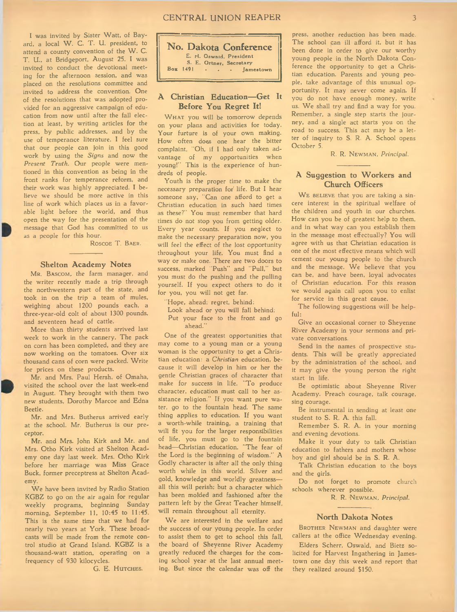I was invited by Sister Watt, of Bayard, a local W. C. T. U. president, to attend a county convention of the W. C. T. U., at Bridgeport, August 25. I was invited to conduct the devotional meeting for the afternoon session, and was placed on the resolutions committee and invited to address the convention. One of the resolutions that was adopted provided for an aggressive campaign of education from now until after the fall election at least, by writing articles for the press, by public addresses, and by the use of temperance literature. I feel sure that our people can join in this good work by using the *Signs* and now the *Present Truth.* Our people were mentioned in this convention as being in the front ranks for temperance reform, and their work was highly appreciated. I believe we should be more active in this line of work which places us in a favorable light before the world, and thus open the way for the presentation of the message that God has committed to us as a people for this hour.

ROSCOE T. BAER.

# **Shelton Academy Notes**

MR. BASCOM, the farm manager, and the writer recently made a trip through the northwestern part of the state, and took in on the trip a team of mules, weighing about 1200 pounds each, a three-year-old colt of about 1300 pounds, and seventeen head of cattle.

More than thirty students arrived last week to work in the cannery. The pack on corn has been completed, and they are now working on the tomatoes. Over six thousand cans of corn were packed. Write for prices on these products.

Mr. and Mrs. Paul Hersh, of Omaha, visited the school over the last week-end in August. They brought with them two new students, Dorothy Marcoe and Edna Beetle.

Mr. and Mrs. Butherus arrived early at the school. Mr. Butherus is our preceptor.

Mr. and Mrs. John Kirk and Mr. and Mrs. Otho Kirk visited at Shelton Academy one day last week. Mrs. Otho Kirk before her marriage was Miss Grace Buck, former preceptress at Shelton Academy.

We have been invited by Radio Station KGBZ to go on the air again for regular weekly programs, beginning Sunday morning, September 11, 10:45 to 11:45. This is the same time that we had for nearly two years at York. These broadcasts will be made from the remote control studio at Grand Island. KGBZ is a thousand-watt station, operating on a frequency of 930 kilocycles.

G. E. HUTCHES.

**No. Dakota Conference** E. H. Oswaid, President S. E. Ortner, Secretary<br>Box 1491 . . **Jamestown** 

# **A Christian Education— Get It Before You Regret It!**

WHAT you will be tomorrow depends on your plans and activities for today. Your furture is of your own making. How often does one hear the bitter complaint, "Oh, if I had only taken advantage of my opportunities when young!" This is the experience of hundreds of people.

Youth is the proper time to make the necessary preparation for' life. But I hear someone say, "Can one afford to get a Christian education in such hard times as these?" You must remember that hard times do not stop you from getting older. Every year counts. If you neglect to make the necessary preparation now, you will feel the effect of the lost opportunity throughout your life. You must find a way or make one. There are two doors to success, marked "Push" and "Pull," but you must do the pushing and the pulling yourself. If you expect others to do it for you, you will not get far.

"Hope, ahead; regret, behind:

Look ahead or you will fall behind;

Put your face to the front and go ahead."

One of the greatest opportunities that may come to a young man or a young woman is the opportunity to get a Christian education: a *Christian* education, because it will develop in him or her the gentle Christian graces of character that make for success in life. "To produce character, education must call to her assistance religion." If you want pure water, go to the fountain head. The same thing applies to education. If you want a worth-while training, a training that will fit you for the larger responsibilities of life, you must go to the fountain head-Christian education. "The fear of the Lord is the beginning of wisdom." A Godly character is after all the only thing worth while in this world. Silver and gold, knowledge and worldly greatness all this will perish; but a character which has been molded and fashioned after the pattern left by the Great Teacher himself, will remain throughout all eternity.

We are interested in the welfare and the success of our young people. In order to assist them to get to school this fall, the board of Sheyenne River Academy greatly reduced the charges for the coming school year at the last annual meeting. But since the calendar was off the

press, another reduction has been made. The school can ill afford it, but it has been done in order to give our worthy young people in the North Dakota Conference the opportunity to get a Christian education. Parents and young people, take advantage of this unusual opportunity. It may never come again. If you do not have enough money, write us. We shall try and find a way for you. Remember, a single step starts the journey, and a single act starts you on the road to success. This act may be a letter of inquiry to S. R. A. School opens October 5.

R. R. NEWMAN, Principal.

# **A Suggestion to Workers and Church Officers**

WE BELIEVE that you are taking a sincere interest in the spiritual welfare of the children and youth in our churches. How can you be of greatest help to them, and in what way can you establish them in the message most effectually? You will agree with us that Christian education is one of the most effective means which will cement our young people to the church and the message. We believe that you can be, and have been, loyal advocates of Christian education. For this reason we would again call upon you to enlist for service in this great cause.

The following suggestions will be helpful:

Give an occasional corner to Sheyenne River Academy in your sermons and private conversations.

Send in the names of prospective students. This will be greatly appreciated by the administration of the school, and it may give the young person the right start in life.

Be optimistic about Sheyenne River Academy. Preach courage, talk courage, sing courage.

Be instrumental in sending at least one student to S. R. A. this fall.

Remember S. R. A. in your morning and evening devotions.

Make it your duty to talk Christian education to fathers and mothers whose boy and girl should be in S. R. A.

Talk Christian education to the boys and the girls.

Do not forget to promote church schools wherever possible.

R. R. NEWMAN, Principal.

#### **North Dakota Notes**

BROTHER NEWMAN and daughter were callers at the office Wednesday evening.

Elders Scherr, Oswald, and Bietz solicited for Harvest Ingathering in Jamestown one day this week and report that they realized around \$150.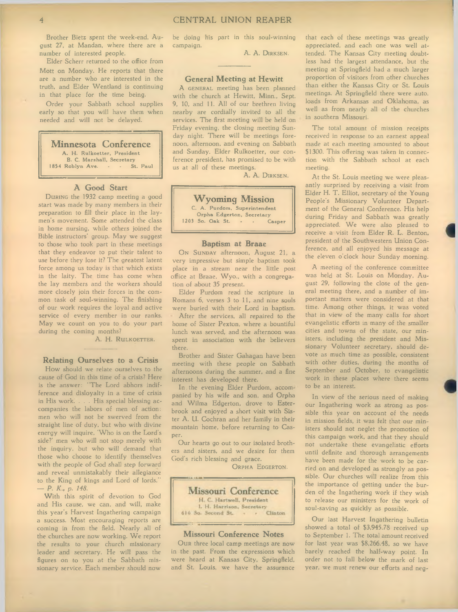Brother Bietz spent the week-end, August 27, at Mandan, where there are a number of interested people.

Elder Scherr returned to the office from Mott on Monday. He reports that there are a number who are interested in the truth, and Elder Wentland is continuing in that place for the time being.

Order your Sabbath school supplies early so that you will have them when needed and will not be delayed.

**Minnesota Conference** A. H. Rulkoetter, President B. C. Marshall, Secretary<br>Roblyn Ave. . . . . St. Paul  $1854$  Roblyn Ave.

# **A Good Start**

DURING the 1932 camp meeting a good start Was made by many members in their preparation to fill their place in the laymen's movement. Some attended the class in home nursing, while others joined the Bible instructors' group. May we suggest to those who took part in these meetings that they endeavor to put their talent to use before they lose it? The greatest latent force among us today is that which exists in the laity. The time has come when the lay members and the workers should more closely join their forces in the common task of soul-winning. The finishing of our work requires the loyal and active service of every member in our ranks. May we count on you to do your part during the coming months?

A. H. RULKOETTER.

#### **Relating Ourselves to a Crisis**

How should we relate ourselves to the cause of God in this time of a crisis? Here is the answer: "The Lord abhors indifference and disloyalty in a time of crisis in His work. . . . His special blessing accompanies the labors of men of action: men who will not be swerved from the straight line of duty, but who with divine energy will inquire, 'W ho is on the Lord's side?' men who will not stop merely with the inquiry, but who will demand that those who choose to identify themselves with the people of God shall step forward and reveal unmistakably their allegiance to the King of kings and Lord of lords." — P. *K" p. 148.*

With this spirit of devotion to God and His cause, we can, and will, make this year's Harvest Ingathering campaign a success. Most encouraging reports are coming in from the field. Nearly all of the churches are now working. We report the results to your church missionary leader and secretary. He will pass the figures on to you at the Sabbath missionary service. Each member should now

be doing his part in this soul-winning campaign.

A. A. DIRKSEN.

# **General Meeting at Hewitt**

A GENERAL meeting has been planned with the church at Hewitt, Minn., Sept. 9, 10, and 11. All of our brethren living nearby are cordially invited to all the services. The first meeting will be held on Friday evening, the closing meeting Sunday night. There will be meetings forenoon, afternoon, and evening on Sabbath and Sunday. Elder Rulkoetter, our conference president, has promised to be with us at all of these meetings.

A. A. DIRKSEN.

# **Wyoming Mission**

C. A. Purdom, Superintendent Orpha Edgerton, Secretary 1203 So. Oak St. . . Casper

#### **Baptism at Braae**

ON SUNDAY afternoon, August 21, a very impressive but simple baptism took place in a stream near the little post office at Braae, Wyo., with a congregation of about 35 present.

Elder Purdom read the scripture in Romans 6, verses 3 to 11, and nine souls were buried with their Lord in baptism. After the services, all repaired to the home of Sister Pexton, where a bountiful lunch was served, and the afternoon was spent in association with the believers there.

Brother and Sister Gahagan have been meeting with these people on Sabbath afternoons during the summer, and a fine interest has developed there.

In the evening Elder Purdom, accompanied by his wife and son, and Orpha and Wilma Edgerton, drove to Esterbrook and enjoyed a short visit with Sister A. U. Cochran and her family in their mountain home, before returning to Casper.

Our hearts go out to our isolated brothers and sisters, and we desire for them God's rich blessing and grace.

ORPHA EDGERTON.

Missouri Conference H. C. Hartwell, President I. H. Harrison, Secretary Clinton 616 So. Second St.

# **Missouri Conference Notes**

Oun three local camp meetings are now in the past. From the expressions which were heard at Kansas City, Springfield, and St. Louis, we have the assurance

that each of these meetings was greatly appreciated, and each one was well attended. The Kansas City meeting doubtless had the largest attendance, but the meeting at Springfield had a much larger proportion of visitors from other churches than either the Kansas City or St. Louis meetings. At Springfield there were auto, loads from Arkansas and Oklahoma, as well as from nearly all of the churches in southern Missouri.

The total amount of mission receipts received in response to an earnest appeal made at each meeting amounted to about \$1300. This offering was taken in connection with the Sabbath school at each meeting.

At the St. Louis meeting we were pleasantly surprised by receiving a visit from Elder H. T. Elliot, secretary of the Young People's Missionary Volunteer Department of the General Conference. His help during Friday and Sabbath was greatly appreciated. We were also pleased to receive a visit from Elder R. L. Benton, president of the Southwestern Union Conference, and all enjoyed his message at the eleven o'clock hour Sunday morning.

A meeting of the conference committee was held at St. Louis on Monday, August 29, following the close of the general meeting there, and a number of important matters were considered at that time. Among other things, it was voted that in view of the many calls for short evangelistic efforts in many of the smaller cities and towns of the state, our ministers, including the president and Missionary Volunteer secretary, should devote as much time as possible, consistent with other duties, during the months of September and October, to evangelistic work in these places where there seems to be ah interest.

In view of the serious need of making our Ingathering work as strong as possible this year on account of the needs in mission fields, it was felt that our ministers should not neglet the promotion of this campaign work, and that they should not undertake these evangelistic efforts until definite and thorough arrangements have been made for the work to be carried on and developed as strongly as possible. Our churches will realize from this the importance of getting under the burden of the Ingathering work if they wish to release our ministers for the work of soul-saving as quickly as possible.

Our last Harvest Ingathering bulletin showed a total of \$3,945.78 received up to September 1. The total amount received for last year was \$8,266.48, so we have barely reached the half-way point. In order not to fall below the mark of last year, we must renew our efforts and neg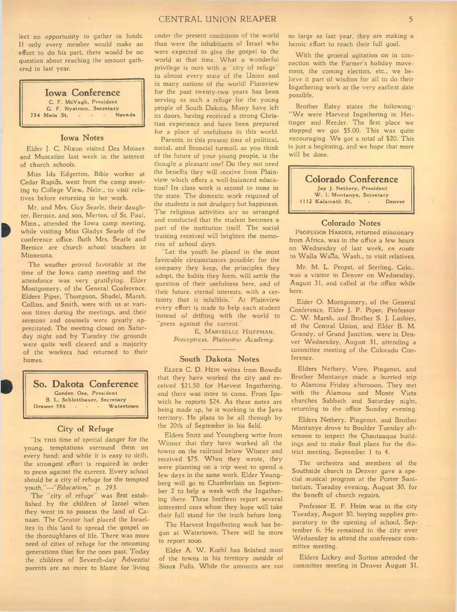# CENTRAL UNION REAPER 5

lect no opportunity to gather in funds. If only every member would make an effort to do his part, there would be no question about reaching the amount gathered in last year.

# **Iowa Conference** C. F. McVagh, President G. F. Nystrom, Secretary<br>Main St. Nevada 734 Main St.

# **Iowa Notes**

Elder J. C. Nixon visited Des Moines and Muscatine last week in the interest of church schools.

Miss Ida Edgerton, Bible worker at Cedar Rapids, went from the camp meeting to College View, Nebr., to visit relatives before returning to her work.

Mr. and Mrs. Guy Searle, their daughter, Bernice, and son, Merton, of St. Paul, Minn., attended the Iowa camp meeting, while visiting Miss Gladys Searle of the conference office. Both Mrs. Searle and Bernice are church school teachers in Minnesota.

The weather proved favorable at the time of the Iowa camp meeting and the attendance was very gratifying. Elder Montgomery, of the General Conference, Elders Piper, Thompson, Shadel, Marsh, Collins, and Smith, were with us at various times during the meetings, and their sermons and counsels were greatly apprecitated. The meeting closed on Saturday night and by Tuesday the grounds were quite well cleared and a majority of the workers had returned to their homes.

**So. Dakota Conference** Gorden Oss, President B. L. Schlotthauer, Secretary<br>wer 586 . . . . . Watertown Drawer 586

# **City of Refuge**

"In THIS time of special danger for the young, temptations surround them on every hand; and while it is easy to drift, the strongest effort is required in order to press against the current. Every school should be a city of refuge for the tempted youth."— *"Education,'' p. 293.*

The "city of refuge" was first established by the children of Israel when they went in to possess the land of Canaan. The Creator had placed the Israelites in this land to spread the gospel on the thoroughfares of life. There was more need of cities of refuge for the oncoming generations than for the ones past. Today the children of Seventh-day Adventist parents are no more to blame for living

under the present conditions of the world than were the inhabitants of Israel who were expected to give the gospel to the world at that time. What a wonderful privilege is ours with a "city of refuge" in almost every state of the Union and in many nations of the world! Plainview for the past twenty-two years has been serving as such a refuge for the young people of South Dakota. Many have left its doors, having received a strong Christian experience and have been prepared for a place of usefulness in this world.

Parents, in this present time of political, social, and financial turmoil, as you think of the future of your young people, is the thought a pleasant one? Do they not need the benefits they will receive from Plainview which offers a well-balanced education? Its class work is second to none in the state. The domestic work required of the students is not drudgery but happiness. The religious activities are so arranged and conducted that the student becomes a part of the institution itself. The social training received will brighten the memories of school days.

"Let the youth be placed in the most favorable circumstances possible; for the company they keep, the principles they adopt, the habits they form, will settle the question of their usefulness here, and of their future, eternal interests, with a certainty that is infallible." At Plainview every effort is made to help each student instead of drifting with the world to press against the current."

E. MARYBELLE HUFFMAN, Preceptress, Plainview Academu.

### **South Dakota Notes**

ELDER C. D. HEIN writes from Bowdle that they have worked the city and received \$21.50 for Harvest Ingathering, and there was more to come. From Ipswich he roports \$24. As these notes are being made up, he is working in the Java territory. He plans to be all through by the 20th of September in his field.

Elders Stotz and Youngberg write from Winner that they have worked all the towns on the railroad below Winner and received \$75. When they wrote, they were planning on a trip west to spend a few days in the same work. Elder Youngberg will go to Chamberlain on September 2 to help a week with the Ingathering there. These brethren report several interested ones whom they hope will take their full stand for the truth before long.

The Harvest Ingathering work has begun at Watertown. There will be more to report soon.

Elder A. W. Kuehl has finished most of the towns in his territory outside of Sioux Falls. While the amounts are not

so large as last year, they are making a heroic effort to reach their full goal.

With the general agitation on in connection with the Farmer's holiday movement, the coming election, etc., we believe it part of wisdom for all to do their Ingathering work at the very earliest date possible.

Brother Estey states the following: "We were Harvest Ingathering in Hettinger and Reeder. The first place we stopped we got \$5.00. This was quite encouraging. We got a total of \$20. This is just a beginning, and we hope that more will be done.

**Colorado Conference** Jay J. Nethery, President W. I. Montanye, Secretary 1112 Kalamath St. . Denver

# **Colorado Notes**

PROFESSOR HARDER, returned missionary from Africa, was in the office a few hours on Wednesday of last week, *en route* to Walla Walla, Wash., to visit relatives.

Mr. M. L. Propst, of Sterling, Colo., was a visitor in Denver on Wednesday, August 31, and called at the office while here.

Elder O. Montgomery, of the General Conference, Elder J. F. Piper, Professor C. W. Marsh, and Brother S. J. Lashier. of the Central Union, and Elder B. M. Grandy, of Grand Junction, were in Denver Wednesday, August 31, attending a committee meeting of the Colorado Conference.

Elders Nethery, Vore, Pingenot, and Brother Montanye made a hurried trip to Alamosa Friday afternoon. They met with the Alamosa and Monte Vista churches Sabbath and Saturday night, returning to the office Sunday evening.

Elders Nethery, Pingenot, and Brother Montanye drove to Boulder Tuesday afternoon to inspect the Chautauqua buildings and to make final plans for the district meeting, September 1 to 4.

The orchestra and members of the Southside church in Denver gave a special musical program at the Porter Sanitarium, Tuesday evening, August 30, for the benefit of church repairs.

Professor E. F. Heim was in the city Tuesday, August 30, buying supplies preparatory to the opening of school, September 6. He remained in the city over W ednesday to attend the conference committee meeting.

Elders Lickey and Sutton attended the committee meeting in Denver August 31.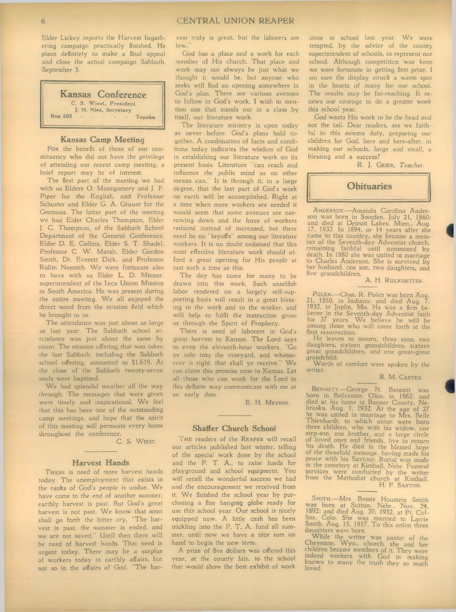Elder Lickey reports the Harvest Ingathering campaign practically finished. He plans definitely to make a final appeal and close the actual campaign Sabbath. September 3.



#### **Kansas Camp Meeting**

For the benefit of those of our constituency who did not have the privilege of attending our recent camp meeting, a brief report may be of interest.

The first part of the meeting we had with us Elders O. Montgomery and J. F. Piper for the English, and Professor Schuster and Elder G. A. Grauer for the Germans. The latter part of the meeting we had Elder Charles Thompson, Elder J. C. Thompson, of the Sabbath School Department of the General Conference, Elder D. E. Collins, Elder S. T. Shadel, Professor C. W. Marsh, Elder Gordon Smith, Dr. Everett Dick, and Professor Rollin Nesmith. We were fortunate also to have with us Elder L. D. Minner, superintendent of the Inca Union Mission in South America. He was present during the entire meeting. We all enjoyed the direct word from the mission field which he brought to us.

The attendance was just about as large as last year. The Sabbath school attendance was just about the same by count. The mission offering that was taken the last Sabbath, including the Sabbath school offering, amounted to \$1,'619. At the close of the Sabbath twenty-seven souls were baptized.

We had splendid weather all the way through. The messages that were given were timely and inspirational. We feel that this has been one of the outstanding camp meetings, and hope that the spirit of this meeting will permeate every home throughout the conference.

C. S. WIEST.

#### **Harvest Hands**

THERE is need of more harvest hands today. The unemployment that exists in the ranks of God's people is undue. We have come to the end of another summer; earthly harvest is past. But God's great harvest is not past. We know that soon shall go forth the bitter cry, "The harvest is past, the summer is ended, and we are not saved." Until then there will be need of harves't hands. That need is urgent today. There may be a surplus of workers today in earthly affairs, but not so in the affairs of God. 'The har-

vest truly is great, but the laborers are few.

God has a place and a work for each member of His church. That place and work may not always be just what we thought it would be, but anyone who seeks will find an opening somewhere in God s plan. There are various avenues to follow in God's work. I wish to mention one that stands out in a class by itself, our literature work.

The literature ministry is open today as never before. God's plans hold together. A combination of facts and conditions today indicates the wisdom of God in establishing our literature work on its present basis. Literature "can reach and influence the public mind as no other means can." It is through it, in a large degree, that the last part of God's work on earth will be accomplished. Right at a time when more workers are needed it would seem that some avenues are narrowing down and the force of workers reduced instead of increased, but there need be no "layoffs" among our literature workers. It is no doubt ordained that this most effective literature work should afford a great opening for His people at just such a time as this.

The day has come for many to be drawn into this work. Such unselfish labor rendered on a largely self-supporting basis will result in a great blessing to the work and to the worker, and will help to fulfil the instruction given us through the Spirit of Prophecy.

There is need of laborers in God's great harvest in Kansas. The Lord says to even the eleventh-hour workers, "Go ye aslo into the vineyard, and whatsoever is right, that shall ye receive." We can claim this promise now in Kansas. Let all those who can work for the Lord in this definite way communicate with me at an early date.

E. H. MEYERS.

# **Shaffer Church School**

THE readers of the REAPER will recall our articles published last winter, telling of the special work done by the school and the P. T. A., to raise funds for playground and school equipment. You will recall the wonderful success we had and the encouragement we received from it. We finished the school year by purchasing a fine hanging globe ready for use this school year. Our school is nicely equipped now. A little cash has been trickling into the P. T. A. fund all summer, until now we have a nice sum on hand to begin the new term.

A prize of five dollars was offered this year, at the county fair, to the school that would show the best exhibit of work

done in school last year. We were tempted, by the advice of the county superintendent of schools, to represent our school. Although competition was keen we were fortunate in getting first prize. I am sure the display struck a warm spot in the hearts of many for our school. The results may be far-reaching. It renews our courage to do a greater work this school year.

God wants His work to be the head and not the tail. Dear readers, are we faithful in this solemn duty, preparing our children for God, here and here-after, in making our schools, large and small, a blessing and a success?

R. J. GEIER. Teacher.

# **Obituaries**

ANDERSON.—Amanda Carolina Anderson was born in Sweden, July 21, 1860; and died at Detroit Lakes, Minn., Aug. 17, 1932. In 1894, or 14 years after she came to this country, she became a member of the Seventh-day Adventist church, remaining faithful until summoned by death. In 1880 she was united in marriage to Charles Anderson. She is survived by her husband, one son, two daughters, and five grandchildren.

A. H. RULKOETTER.

POLEN.— Chas. R. Polen was born Aug. 21, 1850, in Indiana; and died Aug. 7, 1932, in Joplin, Mo. He was a firm believer in the Seventh-day Adventist faith for 37 years. We believe he will be<br>among those who will come forth at the first resurrection.

He leaves to mourn, three sons, two daughters, sixteen grandchildren, sixteen great grandchildren, and one great-great grandchild.

Words of comfort were spoken by the writer.

R. M. CARTER.

BENNETT.—George N. Bennett was<br>born in Bellcenter, Ohio, in 1862; and died at his home in Banner County, Nebraska, Aug. 1, 1932. At the age of 27 he was united in marriage to Mrs. Belle I hienhardt, to which union were born<br>three children, who with his widow, one step-son, one brother, and a large circle of loved ones and friends, live to mourn his death. He died in the blessed hope of the threefold message, having made his<br>peace with his Saviour. Burial was made peace with his Saviour. Burial was made in the cemetery at Kimball, Nebr. Funeral services were conducted by the writer from the Methodist church at Kimball. H. F. Saxton

SMITH.—Mrs. Bessie Houstein Smith<br>was born at Sutton, Nebr., Nov 24 1892; and died Aug. 20, 1932, at Ft. Collins, Colo. She was married to Larrie Smith, Aug. 15, 1917. To this union three daughters were born.

While the writer was pastor of the Cheyenne, Wyo., church, she and her children became members of it. They were indeed workers with God in making known to many the truth they so much loved.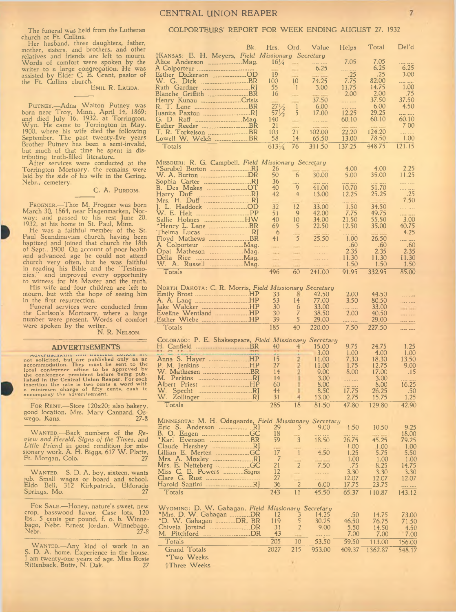# The funeral was held from the Lutheran

church at Ft. Collins. Her husband, three daughters, father, mother, sisters, and brothers, and other relatives and friends are left to mourn. Words of comfort were spoken by the writer to a large congregation. He was assisted by Elder C. E. Grant, pastor of the Ft. Collins church.

EMIL R. LAUDA.

Purney.—Adna Walton Putney was born near Troy, Minn., April 14, 1869; and died July 16, 1932, at Torrington, W yo. He came to Torrington in May, 1900, where his wife died the following September. The past twenty-five years Brother Putney has been a semi-invalid, but much of that time he spent in distributing truth-filled literature.

After services were conducted at the Torrington Mortuary, the remains were laid by the side of his wife in the Gering, Nebr., cemetery.

C. A. PURDOM.

FROGNER.-Thor M. Frogner was born March 3Q, 1864, near Hagenmarken, Norway; and passed to his rest June 20, 1932, at his home in St. Paul, Minn.

He was a faithful member of the St. Paul Scandinavian church, having been baptized and joined that church the 18th of Sept., 1900. On account of poor health and advanced age he could not attend church very often, but he was faithful in reading his Bible and the ''Testimo-nies," and improved every opportunity to witness for his Master and the truth.

His wife and four children are left to mourn, but with the hope of seeing him in the first resurrection.

Funeral services were conducted from the Carlson's Mortuary, where a large number were present. W ords of comfort were spoken by the writer.

N. R. NELSON.

#### **ADVERTISEMENTS**

Agvertusements and business much said and solicited, but are published only as an accommodation. They must be sent to the local conference president before being published in the Central Union Reaper. For each insertion th

FOR RENT.-Store 120x20; also bakery, good location. Mrs. Mary Cannard, Oswego, Kans.  $27 - 8$ 

WANTED.—Back numbers of the *Review and H erald, Signs o[ the Tim es,* and Li*ttle Friend* in good condition for mis-<br>sionary work. A. H. Biggs, 617 W. Platte, Ft. Morgan, Colo. 27

WANTED.-S. D. A. boy, sixteen, wants job. Small wages or board and school. Eldo Bell, 312 Kirkpatrick, Eldorado Springs, Mo.

For Sale.—Honey, nature's sweet, new crop, basswood flavor. Case lots, 120 lbs., 5 cents per pound, f. o. b. W inne-bago, Nebr. Ernest Jordan, Winnebago, Nebr. 27-8

WANTED.-Any kind of work in an S. D. A. home. Experience in the house. I am twenty-one years of age. Miss Rosie Rittenback. Butte, N. Dak. 27

|                                                                              | Bk. | Hrs.             | Ord.            | Value          | <b>Helps</b>     | Total          | Del'd          |
|------------------------------------------------------------------------------|-----|------------------|-----------------|----------------|------------------|----------------|----------------|
| †KANSAS: E. H. Meyers, Field Missionary Secretary                            |     |                  |                 |                |                  |                |                |
| Alice Anderson Mag.                                                          |     | $16\frac{1}{4}$  |                 |                | 7.05             | 7.05<br>6.25   | 6.25           |
| Esther Dickerson OD                                                          |     | 19               |                 | 6.25           | ---- ----<br>.25 | .25            | 3.00           |
| W. G. Dick BR                                                                |     | 100              | 10              | 74.25          | 7.75             | 82.00          |                |
| Ruth Gardner RJ                                                              |     | 55               | $\mathbf{1}$    | 3.00           | 11.75            | 14.75          | 1.00           |
| Blanche Griffith BR                                                          |     | 16               |                 |                | 2.00             | 2.00           | .75            |
| Henry Kunau Crisis                                                           |     | $27\frac{1}{2}$  | -1              | 37.50<br>6.00  |                  | 37.50<br>6.00  | 37.50<br>4.50  |
| R. T. Lane BR<br>Juanita Paxton RJ                                           |     | $57\frac{1}{2}$  | 5               | 17.00          | <br>12.25        | 29.25          |                |
|                                                                              |     | 140              | a Law           | .              | 60.10            | 60.10          | 60.10          |
| Esther Reeder BR                                                             |     | 21               |                 |                |                  |                | 7.00           |
| T. R. Torkelson BR                                                           |     | 103              | 21              | 102.00         | 22.20            | 124.20         | .              |
| Lowell W. Welch BR                                                           |     | 58               | 14              | 65.50          | 13.00            | 78.50          | 1.00           |
| Totals                                                                       |     | $613\frac{1}{4}$ | 76              | 311.50         | 137.25           | 448.75         | 121.15         |
|                                                                              |     |                  |                 |                |                  |                |                |
| MISSOURI: R. G. Campbell, Field Missionary Secretary<br>*Sarabel Borton RJ   |     | 26               |                 |                | 4.00             | 4.00           | 2.25           |
| W. A. Burton DR                                                              |     | 50               | 6               | 30.00          | 5.00             | 35.00          | 11.25          |
| Sophia Carter RJ                                                             |     | 36               |                 | -----          |                  |                | ---- ----      |
| B. Des Mukes OT                                                              |     | 40               | 9               | 41.00          | 10.70            | 51.70          | $\frac{1}{25}$ |
| Mrs. H. Duff RJ                                                              |     | 42               | $\ddot{4}$      | 13.00          | 12.25            | 25.25          | 7.50           |
| J. L. Haddock OD                                                             |     | 32               | 12              | 33.00          | .<br>1.50        | 34.50          | .              |
|                                                                              |     | 51               | 9               | 42.00          | 7.75             | 49.75          |                |
| Sallie Holmes HW                                                             |     | 40               | 10              | 34.00          | 21.50            | 55.50          | 3.00           |
| *Henry L. Lane BR                                                            |     | 69               | 5               | 22.50          | 12.50            | 35.00          | 40.75          |
| Thelma Lucas RJ<br>Floyd Mathews BR                                          |     | -6<br>41         | 5               | 25.50          | .<br>1.00        | 26.50          | 4.25           |
|                                                                              |     |                  | <b>Point</b>    | .              | .60              | .60            | <br>.60        |
|                                                                              |     | mark of          | <b>Contract</b> | .              | 2.35             | 2.35           | 2.35           |
|                                                                              |     |                  |                 | .              | 11.30            | 11.30          | 11.30          |
|                                                                              |     |                  |                 |                | 1.50             | 1.50           | 1.50           |
| Totals                                                                       |     | 496              | 60              | 241.00         | 91.95            | 332.95         | 85.00          |
|                                                                              |     |                  |                 |                |                  |                |                |
| NORTH DAKOTA: C. R. Morris, Field Missionary Secretary                       |     | 33               | 8               | 42.50          | 2.00             | 44.50          |                |
|                                                                              |     | 53               | 14              | 77.00          | 3.50             | 80.50          | .              |
|                                                                              |     | 30               | 6               | 33.00          |                  | 33.00          | and says       |
| Eveline Wentland HP                                                          |     | 30               | $\overline{7}$  | 38.50          | 2.00             | 40.50          | <u> </u>       |
| Esther Wiebe HP                                                              |     | 39               | 5               | 29.00          | .                | 29.00          |                |
| Totals                                                                       |     | 185              | 40              | 220.00         | 7.50             | 227.50         |                |
| COLORADO: P. E. Shakespeare, Field Missionary Secretary                      |     |                  |                 |                |                  |                |                |
|                                                                              |     | 40               |                 | 15.00          | 9.75             | 24.75          | 1.25           |
|                                                                              |     |                  |                 | 3.00           | 1.00             | 4.00           | 1.00           |
|                                                                              |     | 15<br>27         | $\overline{2}$  | 11.00<br>11.00 | 7.30<br>1.75     | 18.30<br>12.75 | 13.50<br>9.00  |
| W. Mathiesen BR                                                              |     | 14               | 2               | 9.00           | 8.00             | 17.00          | .15            |
| M. Perkins RI                                                                |     | 14               | $\mathbf{I}$    | 3.00           | .                | 3.00           |                |
| Albert Priest HP                                                             |     | 60               | 1               | 8.00           |                  | 8.00           | 16.25          |
| W.                                                                           |     | 44               | ı               | 8.50           | 17.75            | 26.25          | .50            |
| W. Zollinger                                                                 | .KJ | 31<br>285        | 4<br>18         | 13.00          | 2.75             | 15.75          | 1.25<br>42.90  |
| Totals                                                                       |     |                  |                 | 81.50          | 47.80            | 129.80         |                |
| MINNESOTA: M. H. Odegaarde, Field Missionary Secretary                       |     |                  |                 |                |                  |                |                |
| Eric S. Anderson RJ                                                          |     | 29               | 3               | 9.00           | 1.50             | 10.50          | 9.25           |
|                                                                              |     | 18               |                 |                |                  |                | 18.00          |
|                                                                              |     | 59               | 3               | 18.50          | 26.75            | 45.25          | 79.25          |
| Claude Hershey RJ                                                            |     | 17               | $\mathbf{1}$    | 4.50           | 1.00             | 1.00           | 1.00           |
|                                                                              |     | $\overline{7}$   |                 |                | 1.25<br>1.00     | 5.75<br>1.00   | 5.50<br>1.00   |
| Mrs. E. Netteberg GC                                                         |     | 21               | $\overline{c}$  | 7.50           | .75              | 8.25           | 14.75          |
|                                                                              |     | 12               |                 | .              | 3.30             | 3.30           | 3.30           |
|                                                                              |     | 27               |                 | $\cdots$       | 12.07            | 12.07          | 12.07          |
|                                                                              |     | 36               | $\overline{c}$  | 6.00           | 17.75            | 23.75          | .              |
| <b>Totals</b>                                                                |     | 243              | 11              | 45.50          | 65.37            | 110.87         | 143.12         |
|                                                                              |     |                  |                 |                |                  |                |                |
| WYOMING: D. W. Gahagan, Field Missionary Secretary<br>*Mrs. D. W. Gahagan DR |     | 12               |                 | 14.25          |                  | 14.75          | 73.00          |
| *D. W. Gahagan DR, BR                                                        |     | 119              | 5               | 30.25          | .50<br>46.50     | 76.75          | 71.50          |
| Chivela Jorstad DR                                                           |     | 31               | $\overline{2}$  | 9.00           | 5.50             | 14.50          | 4.50           |
|                                                                              |     | 43               |                 |                | 7.00             | 7.00           | 7.00           |
| Totals                                                                       |     | 205              | 10              | 53.50          | 59.50            | 113.00         | 156.00         |

COLPORTEURS' REPORT FOR WEEK ENDING AUGUST 27, 1932

†Three Weeks.

409.37 1362.87 548.17